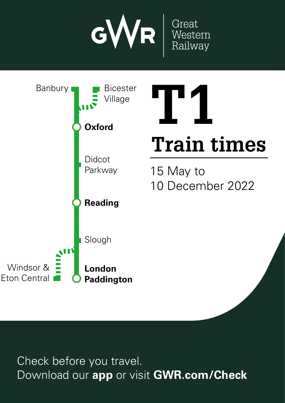



Check before you travel. Download our **app** or visit **GWR.com/Check**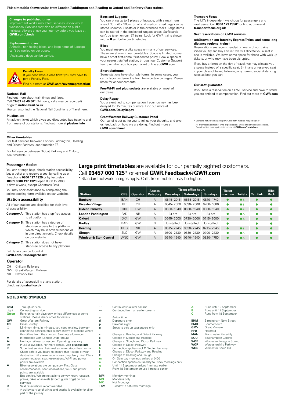## **This timetable shows trains from London Paddington and Reading to Oxford and Banbury (Fast trains).**

### **Changes to published times**

Improvement works may affect services, especially at<br>weekends. Services may also be different on public **GWR.com/check** 

#### **Replacement buses**

Animals<sup>t</sup>, non-folding bikes, and large items of luggage can't be carried on our buse.

h Assistance dogs can be carried.



# **Penalty Fares**

If you don't have a valid ticket you may have to pay a Penalty Fare. Find out more at **GWR.com/revenueprotection** d 1<br><mark>en</mark> to<br><mark>ti</mark> tic<br>**o**<br>fa

#### **National Rail**

Find out more about train times and fares. Call **03457 48 49 50**\* (24 hours, calls may be recorded)<br>or go to **nationalrail.co.uk**<br>. or go to **nationalrail.co.uk** You can also find the National Rail Conditions of Travel here. International charges apply. Calls from mobiles may be higher. The higher. The higher. The higher. The higher. The higher. The higher. The higher mobiles may be higher. The higher mobiles may be higher. The higher mobiles **Company**<br>Beauty re<br>;<br>bl**ipli** ke <mark>m/</mark><br>Download our and checkets and checkets and complete<br>ding to purchase the purchase time and complete and complete and complete and complete and complete and comple re<br>ar<br>m<br>ou Don't miss on the miss of the collection of the collection of the collection of the collection of the collection of the collection of the collection of the collection of the collection of the collection of the collection o

### **PlusBus** ¬

An add-on ticket which gives you discounted bus travel to and from many of our stations. Find out more at **plusbus.info** or<br>;co<br> hal<br>Pis<br>Lombo

#### **Other timetables**

For fast services between London Paddington, Reading and Didcot Parkway, see timetable TS.

For full service between Didcot Parkway and Oxford, see timetable T8.

## **Passenger Assist**

You can arrange help, check station accessibility, buy a ticket and reserve a seat by calling us on Freephone **0800 197 1329** or by text relay **18001 0800 197 1329** (open 0600 to 2300, 7 days a week, except Christmas Day).

You may book assistance by completing the online booking form available on our website.

## **Station accessibility**

### All of our stations are classified for their level of accessibility: Category **A**: This station has step-free access

| <b>Satogory At This station nas stop nos access</b> |
|-----------------------------------------------------|
| to all platforms                                    |
| Category R: This station has a degree of            |

| <b>Satogory D.</b> This station has a asgree of<br>step-free access to the platform,<br>which may be in both directions or<br>in one direction only. Check details<br>on our website |
|--------------------------------------------------------------------------------------------------------------------------------------------------------------------------------------|
| <b>Category C:</b> This station does not have                                                                                                                                        |

step-free access to any platform

### Full details can be found at **GWR.com/PassengerAssist**

## **Operator**

CH Chiltern Railways<br>GW Great Western Ra

- GW Great Western Railway<br>NR Network Rail
- Network Rail

For details of accessibility at any station, check **nationalrail.co.uk**

## **NOTES AND SYMBOLS**

| <b>Bold</b>  | Through service                                                                                                  | $\overline{\phantom{a}}$ | Continued in a later column    |
|--------------|------------------------------------------------------------------------------------------------------------------|--------------------------|--------------------------------|
| Light        | Connecting service                                                                                               |                          | Continued from an earlier colu |
| <b>Green</b> | Runs on certain days only, or has differences at some                                                            |                          |                                |
|              | stations. Please check notes for details                                                                         | a                        | Arrival time                   |
| GW           | Great Western Railway                                                                                            | d                        | Departure time                 |
| ХC           | CrossCountry                                                                                                     | р                        | Previous night                 |
| $\circledR$  | Minimum time, in minutes, you need to allow between<br>connecting services (this is only shown at stations where | ш                        | Stops to pick up passengers o  |
|              | this differs from the standard 5 minute allowance)                                                               | с                        | Change at Reading and Didcot   |
| ٠            | Interchange with London Underground                                                                              | e                        | Change at Slough and Reading   |
| de G         | Heritage railway connection. Operating days vary                                                                 |                          | Change at Slough and Didcot    |
| æ            | PlusBus available. For more details, visit <b>plusbus.info</b>                                                   | g                        | Change at Didcot Parkway       |
| 阿            | SuperFast service. Train makes fewer stops than normal.                                                          | h                        | Connection applies until 11 Se |
|              | Check before you board to ensure that it stops at your                                                           |                          | Change at Didcot Parkway and   |
|              | destination. Bike reservations are compulsory. First Class                                                       | k                        | Change at Reading and Slough   |
|              | accommodation, seat reservations, Wi-Fi and power                                                                | m                        | On Saturday mornings arrives   |
|              | points are available                                                                                             | n                        | Connection applies on Tuesday  |
|              | Bike reservations are compulsory. First Class                                                                    | q                        | Until 11 September arrives 1 n |
|              | accommodation, seat reservations, Wi-Fi and power<br>points are available                                        | r                        | From 18 September arrives 1    |
| t            | Bus service. We are not able to convey heavy luggage,                                                            | MМ                       | Monday mornings                |
|              | prams, bikes or animals (except quide dogs) on bus                                                               | МO                       | Mondays only                   |
|              | services                                                                                                         | МX                       | Not Mondays                    |
| в            | Seat reservations recommended                                                                                    | TSM                      | Tuesday to Saturday mornings   |
|              |                                                                                                                  |                          |                                |

⊠ Seat reservations recommended<br>क्र A trolley service of drinks and snacks is available for all or part of the journey

# **Bags and Luggage**

You can bring up to 3 pieces of luggage, with a maximum size of 30 x 70 x 90cm. Small and medium sized bags can be stored under your seats or in the overhead racks. Large items can be stored in the dedicated luggage areas. Surfboards can't be taken on our IET trains. Look for GWR trains shown with a  $\blacksquare$  symbol in our timetables.

### **Bikes**

You must reserve a bike space on many of our services. These are shown in our timetables. Space is limited, so we have a strict first-come, first-served policy. Book a space at<br>your nearest staffed station, through our Customer Support team, or when you buy your ticket online at **GWR.com**

## **Short platforms**

Some stations have short platforms. In some cases, you can only join or leave the train from certain carriages. Please listen for announcements. So<br>Ca<br>E.

### **Delay Repay**

You are entitled to compensation if your journey has been delayed for 15 minutes or more. Find out more at **GWR.com/DelayRepay** on<br>in the and<br>**ary**<br>title<br>1.<br>**/D D**<br>**D**<br>de

## **Great Western Railway Customer Panel**

#### **Transport Focus**

The UK's independent watchdog for passengers and<br>road users. Call **0300 123 2350**\* or find out more at **transportfocus.org.uk**

#### **Seat reservations on GWR services**

### $\boxtimes$  **(Shown on our Intercity Express Trains, and some long distance regional trains)**

Reservations are recommended on many of our trains. When you try and buy a ticket, we will allocate you a seat if one is available. We leave some space for those with walk-up tickets, or who may have been disrupted.

If you buy a ticket on the day of travel, we may allocate you<br>a space instead of a specific seat. Sit in any unreserved seat in your class of travel, following any current social distancing rules as best you can. **Train times**<br> **D**<br> **D**<br>
If<br>
yo 151<br>ass<br>Des<br>**gi**<br>re a<br>nti

#### **Our seat guarantee**

If you have a reservation on a GWR service and have to stand, you are entitled to compensation. Find out more at **GWR.com ea**<br>ha<br>re ( Download our **app** or visit **GWR.com/Check**

# **Large print timetables** are available for our partially sighted customers. Call **03457 000 125**\* or email **GWR.Feedback@GWR.com**

| rotection                                                                        | $151611101$ driftungungungung.                                                                                                                                                            |            |                 |                 |             |                            | Our seat guarantee                                                                                                                                                                                                 |               |                |                 |             |
|----------------------------------------------------------------------------------|-------------------------------------------------------------------------------------------------------------------------------------------------------------------------------------------|------------|-----------------|-----------------|-------------|----------------------------|--------------------------------------------------------------------------------------------------------------------------------------------------------------------------------------------------------------------|---------------|----------------|-----------------|-------------|
|                                                                                  | Free Wi-Fi and plug sockets are available on most of<br>our trains.                                                                                                                       |            |                 |                 |             |                            | If you have a reservation on a GWR service and have to stand,<br>you are entitled to compensation. Find out more at GWR.com                                                                                        |               |                |                 |             |
| (led                                                                             | <b>Delay Repay</b><br>You are entitled to compensation if your journey has been                                                                                                           |            |                 |                 |             |                            |                                                                                                                                                                                                                    |               |                |                 |             |
| rel here.                                                                        | delayed for 15 minutes or more. Find out more at<br><b>GWR.com/DelayRepay</b>                                                                                                             |            |                 |                 |             |                            |                                                                                                                                                                                                                    |               |                |                 |             |
| avel to and<br>s.info                                                            | <b>Great Western Railway Customer Panel</b><br>Our panel is set up for you to tell us your thoughts and give<br>us feedback on how we are doing. Find out more at<br><b>GWR.com/Panel</b> |            |                 |                 |             |                            | * Standard network charges apply. Calls from mobiles may be higher<br>All information correct at time of publication. Errors and omissions excepted.<br>Download the most up-to-date version at GWR.com/timetables |               |                |                 |             |
| ding                                                                             |                                                                                                                                                                                           |            |                 |                 |             |                            |                                                                                                                                                                                                                    |               |                |                 |             |
|                                                                                  |                                                                                                                                                                                           |            |                 |                 |             |                            |                                                                                                                                                                                                                    |               |                |                 |             |
| d.                                                                               |                                                                                                                                                                                           |            |                 |                 |             |                            |                                                                                                                                                                                                                    |               |                |                 |             |
|                                                                                  |                                                                                                                                                                                           |            |                 |                 |             |                            |                                                                                                                                                                                                                    |               |                |                 |             |
|                                                                                  |                                                                                                                                                                                           |            |                 |                 |             |                            |                                                                                                                                                                                                                    |               |                |                 |             |
| <b>Large print timetables</b> are available for our partially sighted customers. |                                                                                                                                                                                           |            |                 |                 |             |                            |                                                                                                                                                                                                                    |               |                |                 |             |
|                                                                                  |                                                                                                                                                                                           |            |                 |                 |             |                            |                                                                                                                                                                                                                    |               |                |                 |             |
| Call 03457 000 125 <sup>*</sup> or email GWR.Feedback@GWR.com                    |                                                                                                                                                                                           |            |                 |                 |             |                            |                                                                                                                                                                                                                    |               |                |                 |             |
| * Standard network charges apply. Calls from mobiles may be higher.              |                                                                                                                                                                                           |            |                 |                 |             |                            |                                                                                                                                                                                                                    |               |                |                 |             |
|                                                                                  |                                                                                                                                                                                           |            |                 |                 |             |                            |                                                                                                                                                                                                                    |               |                |                 |             |
|                                                                                  |                                                                                                                                                                                           |            |                 | <b>Access</b>   |             | <b>Ticket office hours</b> |                                                                                                                                                                                                                    | <b>Ticket</b> |                |                 | <b>Bike</b> |
| <b>Station</b>                                                                   |                                                                                                                                                                                           | <b>CRS</b> | <b>Operator</b> | <b>Category</b> | Weekdays    | <b>Saturdays</b>           | <b>Sundays</b>                                                                                                                                                                                                     | machine       | <b>Toilets</b> | <b>Car Park</b> | Rack        |
| <b>Banbury</b>                                                                   |                                                                                                                                                                                           | <b>BAN</b> | <b>CH</b>       | A               | 0545-2015   | 0635-2015                  | 0810-1740                                                                                                                                                                                                          |               | $\bullet$      | O               |             |
| <b>Bicester Village</b>                                                          |                                                                                                                                                                                           | <b>BIT</b> | <b>CH</b>       | Α               | 0545-2000   | 0630-2000                  | 0700-1600                                                                                                                                                                                                          |               | $\bullet$      |                 |             |
| <b>Didcot Parkway</b>                                                            |                                                                                                                                                                                           | <b>DID</b> | GW              | A               | 0600-1940   | 0630-1940                  | 0800-1940                                                                                                                                                                                                          | ●             | $\bullet$      | ●               |             |
| <b>London Paddington</b>                                                         |                                                                                                                                                                                           | PAD        | <b>NR</b>       | А               | 24 hrs      | 24 hrs                     | 24 hrs                                                                                                                                                                                                             |               | ی ک            |                 |             |
| Oxford                                                                           |                                                                                                                                                                                           | OXF        | GW              | A               | 0545-2000   |                            |                                                                                                                                                                                                                    |               |                |                 |             |
| Radley                                                                           |                                                                                                                                                                                           |            |                 |                 |             | 0730-2000                  | 0715-2000                                                                                                                                                                                                          |               | $\bullet$      |                 |             |
| Reading                                                                          |                                                                                                                                                                                           | <b>RAD</b> | GW              | B               | Unstaffed   | Unstaffed                  | Unstaffed                                                                                                                                                                                                          |               |                |                 |             |
|                                                                                  |                                                                                                                                                                                           | <b>RDG</b> | <b>NR</b>       | $\overline{A}$  | 0515 - 2245 | 0530-2245                  | 0715-2245                                                                                                                                                                                                          |               | $\bullet$      |                 |             |
| Slough                                                                           |                                                                                                                                                                                           | <b>SLO</b> | GW              | А               | 0600-2130   | 0630-2130                  | 0700-2130                                                                                                                                                                                                          |               | ی ک            |                 |             |
| <b>Windsor &amp; Eton Central</b>                                                |                                                                                                                                                                                           | <b>WNC</b> | GW              | Α               | 0640-1940   | 0640-1940                  | 0820-1750                                                                                                                                                                                                          |               | $\bullet$      |                 |             |

| └         | Continued in a later column<br>Continued from an earlier column |
|-----------|-----------------------------------------------------------------|
| a         | Arrival time                                                    |
| d         | Departure time                                                  |
| p         | Previous night                                                  |
| u         | Stops to pick up passengers only                                |
| C         | Change at Reading and Didcot Parkway                            |
| е         | Change at Slough and Reading                                    |
| f         | Change at Slough and Didcot Parkway                             |
| g         | Change at Didcot Parkway                                        |
| h         | Connection applies until 11 September only                      |
| j         | Change at Didcot Parkway and Reading                            |
| k         | Change at Reading and Slough                                    |
| m         | On Saturday mornings arrives at 0120                            |
| n         | Connection applies on Tuesday to Friday mornings only           |
| q         | Until 11 September arrives 1 minute earlier                     |
| r         | From 18 September arrives 1 minute earlier                      |
| MМ        | Monday mornings                                                 |
| MО        | Mondays only                                                    |
| <b>MY</b> | Not Mondave                                                     |

| А          | Runs until 10 September |
|------------|-------------------------|
| в          | Runs until 11 September |
| c          | Runs from 18 September  |
| <b>BHM</b> | Birmingham New Street   |
|            |                         |

| <b>BMH</b> | Bournemouth               |
|------------|---------------------------|
| <b>GMV</b> | Great Malvern             |
| <b>HFD</b> | Hereford                  |
| <b>MAN</b> | Manchester Piccadilly     |
| SOU        | Southampton Central       |
| <b>WOF</b> | Worcester Foregate Street |
| <b>WOP</b> | Worcestershire Parkway    |
| <b>WOS</b> | Worcester Shrub Hill      |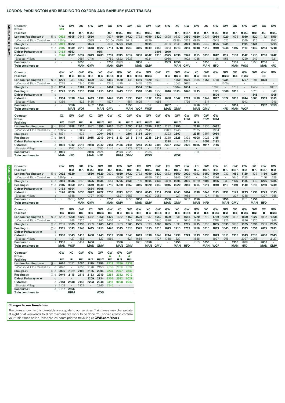## **LONDON PADDINGTON AND READING TO OXFORD AND BANBURY (FAST TRAINS)**

|                  | Operator                                    | GW         | GW                  | XC                     | GW               | GW           | xс                   | GW               | GW                     | XC               | GW         | GW               | GW              | xс         | GW                   | GW              | ХC         | GW              | GW              | ХC           | GW         | GW               | XC              | GW               |
|------------------|---------------------------------------------|------------|---------------------|------------------------|------------------|--------------|----------------------|------------------|------------------------|------------------|------------|------------------|-----------------|------------|----------------------|-----------------|------------|-----------------|-----------------|--------------|------------|------------------|-----------------|------------------|
|                  | <b>Notes</b>                                | <b>MX</b>  |                     |                        |                  |              |                      |                  |                        |                  |            |                  |                 |            |                      |                 |            |                 |                 |              |            |                  |                 |                  |
|                  | <b>Facilities</b>                           |            | - IR                | ∎क्र                   | ⊞ਸ਼ਨ             |              | ∎ਨ                   | ∎⊟ਨ              | - IR                   | ∎≖               | ∎⊟ਨ        | - IR             |                 | ∎≖         | ∎⊟ਨ                  | - IR            | ∎ क्र      | ∎⊟ਨ             | - IR            | ∎ਨ           | ⊞ਸ਼ਨ       | - IR             | ∎ਨ              | ∎⊡ਨ              |
| <b>SAVONOM</b>   | London Paddington e<br>15 d                 | 0032       | 0505                | 0545                   | 0550             |              | 0637                 | 0650             | 0720                   | 0732             | 0750       | 0820             | 0828            | 0832       | 0850                 | 0920            | 0937       | 0950            | 1020            | 1035         | 1050       | 1120             | 1132            | 1150             |
|                  | Windsor & Eton Central<br>d                 | 2354c      |                     | $\cdot$                | 0539             | ٠            | 0616e                | 0640             | 0719                   | $\cdot$          | 0739       | $\cdot$          | ٠               | 0818e      | 0839                 | 0925            | $\cdot$    | 0945            | 1025            | $\cdot$      | 1045       | 1125             | $\cdot$         | 1145             |
| $\overline{a}$   | $\circled{3}$ d<br>Slough <i>s</i> ⊟        | 0050       | 0522                |                        | 0604             |              | 0633                 | 0704             | 0734                   | ×,               | 0804       | $\epsilon$       | 0815c           | 0831       | 0904                 | 0934            | 0942       | 1005            | 1034            |              | 1104       | 1134             |                 | 1204             |
| <b>FRIDAYS</b>   | $\circledcirc$ d                            | 0115       | 0539                | 0615                   | 0618             | 0622         | 0714                 | 0718             | 0749                   | 0815             | 0819       | 0846             | 0853            | 0913       | 0918                 | 0948            | 1015       | 1019            | 1048            | 1115         | 1119       | 1149             | 1213            | 1218             |
|                  | Reading $\equiv$                            |            |                     |                        |                  |              |                      |                  |                        |                  |            |                  |                 |            |                      |                 |            |                 |                 |              |            |                  |                 |                  |
|                  | Didcot Parkway<br>d                         | 0133       | 0553                |                        |                  | 0651         |                      |                  |                        |                  |            | 0905             | 0910            |            |                      |                 |            |                 |                 |              |            |                  |                 |                  |
|                  | Oxford $\equiv$<br>a                        | 0146       | 0607                | 0637                   | 0649             | 0703         | 0737                 | 0745             | 0812                   | 0838             | 0842       | 0918             | 0925            | 0936       | 0943                 | 1015            | 1038       | 1042            | 1112            | 1138         | 1142       | 1213             | 1238            | 1242             |
|                  | <b>Bicester Village</b><br>$\mathsf{a}$     |            |                     | 0657                   | 0716             |              | 0759                 | 0822             | 0838                   | $\cdot$          | 0924       | $\cdot$          | 0956            | $\cdot$    | 1022                 | 1055            |            | 1126            | 1156            | $\cdot$      | 1220       | 1249             | $\cdot$         | 1321             |
|                  | Banbury <i>≊</i> ∋<br>a                     |            |                     | 0656                   | ٠                |              | 0756                 | 0823             | $\cdot$                | 0856             |            | $\epsilon$       | 0953            | 0956       | $\cdot$              | $\cdot$         | 1056       | $\cdot$         | $\cdot$         | 1156         | $\cdot$    | 1253             | 1256            | $\cdot$          |
|                  | <b>Train continues to</b>                   |            |                     | <b>MAN</b>             | <b>GMV</b>       |              | <b>MAN</b>           | <b>GMV</b>       |                        | <b>MAN</b>       | <b>GMV</b> |                  |                 | MAN        | <b>GMV</b>           |                 | <b>MAN</b> | <b>HFD</b>      |                 | <b>MAN</b>   | <b>WOS</b> |                  | <b>MAN</b>      | <b>HFD</b>       |
|                  |                                             |            |                     |                        |                  |              |                      |                  |                        |                  |            |                  |                 |            |                      |                 |            |                 |                 |              |            |                  |                 |                  |
|                  | <b>Operator</b>                             | GW         | XC                  | GW                     | GW               | XC           | GW                   | GW               | XC                     | GW               | GW         | GW               | XC              | GW         | GW                   | XC              | GW         | GW              | GW              | XC           | GW         | GW               | GW              | GW               |
|                  | <b>Facilities</b>                           | $\Box$ R   | ■≖                  | ■੩ਲ਼                   | - IR             | ∎≂           | ∎⊞क्र                | $\blacksquare$ R | ∎≖                     | ∎⊞क्र            | ■⊓≂        |                  | ■≖              | ∎⊓ਸ਼ਨ      | ПR                   | ■ま              | 卵白素        |                 | ■⊓≂             | ∎≂           | 図目表        |                  | 阿日              |                  |
|                  | London Paddington $\Theta$<br>15 d          | 1220       | 1233                | 1250                   | 1320             | 1332         | 1350                 | 1420             | 1436                   | 1450             | 1520       | 1532             |                 | 1550       | 1620                 | 1636            | 1658       | 1718            | 1734            |              | 1757       | 1801             | 1828            | $\cdot$          |
|                  | Windsor & Eton Central<br>d                 | 1225       | ٠                   | 1245                   | 1325             | $\cdot$      | 1345                 | 1425             | $\cdot$                | 1445             | 1525       | $\cdot$          | ٠               | 1545       | 1625                 | ٠               | $\cdot$    | ٠               | 1705e           | $\cdot$      | ٠          | ٠                | $\cdot$         | $\cdot$          |
|                  |                                             |            |                     |                        |                  |              |                      |                  |                        |                  |            |                  |                 |            |                      |                 |            |                 |                 |              |            |                  |                 |                  |
|                  | 3 d<br>Slough <i>s</i>                      | 1234       |                     | 1304                   | 1334             |              | 1404                 | 1434             |                        | 1504             | 1534       | $\epsilon$       |                 | 1604u      | 1634                 |                 |            | 1701c           |                 | 1731         |            | 1745c            | $\cdot$         | 1801c            |
|                  | Reading $\equiv$<br>$^{\circ}$<br>d         | 1249       | 1315                | 1318                   | 1348             | 1415         | 1418                 | 1449             | 1515                   | 1518             | 1548       | 1558             | 1616            | 1619u      | 1648                 | 1715            |            | 1743            | 1800            | 1815         | ٠          | 1828             | $\cdot$         | 1843             |
|                  | Didcot Parkway string<br>d                  |            |                     |                        |                  |              |                      |                  |                        |                  |            | 1620             |                 |            |                      |                 |            | 1800            |                 |              |            | 1848             | $\cdot$         | 1905             |
|                  | Oxford $\equiv$<br>a                        | 1314       | 1338                | 1342                   | 1413             | 1438         | 1443                 | 1513             | 1538                   | 1542             | 1612       | 1632             | 1638            | 1642       | 1713                 | 1738            | 1742       | 1817            | 1822            | 1839         | 1844       | 1903             | 1913            | 1919             |
|                  | <b>Bicester Village</b><br>$\mbox{a}$       | 1359       | $\cdot$             | 1425                   | 1455             | $\cdot$      | 1527                 | ٠                | 1557                   | 1625             |            | 1655             | $\cdot$         | ٠          | 1736                 |                 | 1814       | ٠               |                 |              | 1913       |                  | ٠               | 1946             |
|                  | $\mathsf a$<br>Banbury <i>≊</i> ∋           | ÷.         | 1356                | $\cdot$                | 1452             | 1456         | $\ddot{\phantom{a}}$ | ×.               | 1556                   | $\cdot$          | 1652       | $\cdot$          | 1657            | $\cdot$    | $\ddot{\phantom{a}}$ | 1756            | 1823       | $\cdot$         |                 | 1857         | ÷,         |                  | 1932            | 1953             |
|                  | <b>Train continues to</b>                   |            | MAN                 | <b>WOF</b>             |                  | MAN          | <b>GMV</b>           |                  | MAN                    | <b>WOF</b>       | <b>WOF</b> |                  | <b>MAN</b>      | <b>GMV</b> |                      | <b>MAN</b>      | <b>GMV</b> |                 | <b>HFD</b>      | <b>MAN</b>   | <b>WOF</b> |                  |                 |                  |
|                  |                                             |            |                     |                        |                  |              |                      |                  |                        |                  |            |                  |                 |            |                      |                 |            |                 |                 |              |            |                  |                 |                  |
|                  | Operator                                    | XC         | GW                  | GW                     | XC               | GW           | GW                   | XC               | GW                     | GW               | GW         | GW               | GW              | GW         | GW                   | GW              | GW         | GW              |                 |              |            |                  |                 |                  |
|                  | <b>Notes</b>                                |            |                     |                        |                  |              |                      |                  |                        |                  |            |                  |                 |            | <b>TSM</b>           |                 | <b>TSM</b> | <b>TSM</b>      |                 |              |            |                  |                 |                  |
|                  | <b>Facilities</b>                           | ∎∓         | 阿田美                 | $\blacksquare$         | г                | ∎⊡⊼          | $\blacksquare$       | ■                | ∎⊟⊼                    | - IR             | ∎⊟ਨ        | $\blacksquare$ R |                 | ∎⊓ੜ        |                      | $\blacksquare$  |            |                 |                 |              |            |                  |                 |                  |
|                  |                                             | 1836       | 1858                | 1930                   | 1932             | 1950         | 2020                 | 2032             | 2050                   | 2120             | 2150       | 2220             | 2232            | 2250       |                      | 2318            | 2330       | 0032            |                 |              |            |                  |                 |                  |
|                  | 15 d<br>London Paddington e                 |            |                     |                        |                  |              |                      |                  |                        |                  |            |                  |                 |            | $\cdot$              |                 |            |                 |                 |              |            |                  |                 |                  |
|                  | Windsor & Eton Central<br>d                 | 1805e      |                     | 1905e                  |                  | 1945         | 2025                 |                  | 2045                   | 2125             | 2145       | ٠                | 2205f           | 2245       | $\cdot$              | 2325            | $\cdot$    | 2354            |                 |              |            |                  |                 |                  |
|                  | Slough <i>s</i><br>$\circled{3}$ d          | 1831       |                     | 1922                   |                  | 2004         | 2034                 |                  | 2104                   | 2134             | 2204       |                  | 2223            | 2307       | $\cdot$              | 2335            | 2357       | 0050            |                 |              |            |                  |                 |                  |
|                  | $^{\circ}$<br>Reading $\equiv$<br>d         | 1915       |                     | 1955                   | 2015             | 2019         | 2049                 | 2113             | 2118                   | 2148             | 2218       | 2245             | 2259            | 2328       | 2332                 | 0008            | 0026       | 0115            |                 |              |            |                  |                 |                  |
|                  | Didcot Parkway = Wi<br>d                    |            |                     | ٠                      |                  |              |                      |                  |                        |                  |            |                  | 2318            |            | 0011                 | $\cdot$         | 0057       | 0133            |                 |              |            |                  |                 |                  |
|                  | Oxford $\equiv$<br>a                        | 1938       | 1942                | 2018                   | 2038             | 2042         | 2113                 | 2136             | 2141                   | 2213             | 2243       | 2308             | 2337            | 2352       | 0026                 | 0035            | 0117       | 0146            |                 |              |            |                  |                 |                  |
|                  | <b>Bicester Village</b><br>$\rm{a}$         |            | 2017                | 2040                   |                  | 2105         | 2145                 | $\cdot$          | 2229                   | 2259             |            | 2331             |                 |            |                      |                 |            | $\mathbf{r}$    |                 |              |            |                  |                 |                  |
|                  | Banbury s<br>a l                            | 1956       | $\cdot$             | ×,                     | 2056             | 2124         | $\cdot$              | 2154             | 2220                   | $\sim$           | 2335       | $\cdot$          | ٠               | $\cdot$    | $\cdot$              | 0111            | $\cdot$    | $\sim$          |                 |              |            |                  |                 |                  |
|                  | <b>Train continues to</b>                   | MAN        | <b>HFD</b>          |                        |                  |              |                      | <b>BHM</b>       | <b>GMV</b>             |                  | <b>WOS</b> |                  |                 | <b>WOP</b> |                      |                 |            |                 |                 |              |            |                  |                 |                  |
|                  |                                             |            |                     |                        |                  |              |                      |                  |                        |                  |            |                  |                 |            |                      |                 |            |                 |                 |              |            |                  |                 |                  |
|                  |                                             |            |                     |                        | <b>MAN</b>       | <b>HFD</b>   |                      |                  |                        |                  |            |                  |                 |            |                      |                 |            |                 |                 |              |            |                  |                 |                  |
|                  |                                             |            |                     |                        |                  |              |                      |                  |                        |                  |            |                  |                 |            |                      |                 |            |                 |                 |              |            |                  |                 |                  |
|                  |                                             |            |                     |                        |                  |              |                      |                  |                        |                  |            |                  |                 |            |                      |                 |            |                 |                 |              |            |                  |                 |                  |
|                  | Operator                                    | GW         | GW                  | XC                     | GW               | GW           | XC                   | GW               | GW                     | XC               | GW         | GW               | XC              | GW         | GW                   | XC              | GW         | GW              | XC              | GW           | GW         | XC               | GW              | GW               |
|                  | <b>Facilities</b>                           |            | - IR                | ∎क्र                   | ∎⊡ਨ              | l IR         | ∎≖                   | ∎⊟∓              | – IR                   | ∎≖               | ∎⊟ਨ        | $\Box$ R         | ∎≖              | ∎⊓ੜ        | $\blacksquare$       | ■ま              | ■日素        | - IR            | ∎ रू            | ■日素          | – IR       | ∎ ऊ              | ■⊓∓             | $\blacksquare$ R |
|                  | (f) d<br>London Paddington $\Theta$         | 0032       | 0520                | $\cdot$                | 0550             | 0620         | 0630                 | 0650             | 0720                   | 0732             | 0750       | 0820             | 0832            | 0850       | 0920                 | 0932            | 0950       | 1020            | 1032            | 1050         | 1120       | 1132             | 1150            | 1220             |
|                  | d<br>Windsor & Eton Central                 | 2354p      |                     | $\cdot$                |                  | 0626         |                      | 0656             | 0726                   | $\cdot$          | 0756       | 0826             | $\cdot$         | 0846       | 0926                 |                 | 0946       | 1026            |                 | 1046         | 1126       |                  | 1146            | 1226             |
| <b>SYAURDAYS</b> | $\circled{3}$ d<br>Slough <i>s</i> ⊟        | 0050       | 0536                | 0543                   | 0605             | 0635         | 0644                 | 0705             | 0735                   | 0739             | 0805       | 0835             | 0839            | 0905       | 0935                 | 0939            | 1005       | 1035            | 1039            | 1105         | 1135       | 1139             | 1205            | 1235             |
|                  | Reading $\equiv$<br>$\circledcirc$ d        | 0115       | 0550                | 0615                   | 0619             | 0649         | 0715                 | 0720             | 0750                   | 0815             | 0820       | 0849             | 0915            | 0920       | 0949                 | 1015            | 1019       | 1049            | 1115            | 1119         | 1149       | 1215             | 1219            | 1249             |
|                  | d                                           | 0133       | 0604                | $\cdot$                | 0634             | 0708         |                      |                  |                        |                  |            |                  |                 |            |                      |                 |            |                 |                 |              |            |                  |                 |                  |
|                  | Didcot Parkway string                       |            |                     |                        | 0647             | 0722         |                      |                  |                        |                  | 0843       |                  |                 | 0943       | 1014                 |                 | 1043       |                 |                 |              |            |                  |                 |                  |
|                  | Oxford $\equiv$<br>a                        | 0146       | 0620                | 0638<br>$\blacksquare$ | 0727             | 0759         | 0738                 | 0743<br>0827     | 0815                   | 0838             | 0927       | 0914<br>0958     | 0938<br>$\cdot$ | 1027       |                      | 1038<br>$\cdot$ | 1127       | 1113<br>1158    | 1138<br>$\cdot$ | 1143<br>1227 | 1213       | 1238             | 1243            | 1313             |
|                  | <b>Bicester Village</b><br>a                | $\cdot$    | 0658                |                        |                  | ٠            |                      | ٠                | 0858                   |                  |            |                  |                 | $\cdot$    | 1058                 |                 | $\cdot$    | $\cdot$         |                 | $\cdot$      | 1258       |                  | 1327<br>$\cdot$ | 1358             |
|                  | Banbury s<br>a                              |            | 0651g               | 0656                   |                  |              | 0756                 |                  | 0853                   | 0856             |            | $\cdot$          | 0956            |            | 1052                 | 1056            |            |                 | 1156            |              | 1251       | 1256             |                 | $\sim$           |
|                  | <b>Train continues to</b>                   |            |                     | <b>MAN</b>             | <b>GMV</b>       |              | MAN                  | <b>GMV</b>       |                        | <b>MAN</b>       | <b>GMV</b> |                  | MAN             | <b>GMV</b> |                      | <b>MAN</b>      | <b>HFD</b> |                 | <b>MAN</b>      | <b>GMV</b>   |            | <b>MAN</b>       | <b>HFD</b>      |                  |
|                  |                                             |            |                     |                        |                  |              |                      |                  |                        |                  |            |                  |                 |            |                      |                 |            |                 |                 |              |            |                  |                 |                  |
|                  | Operator                                    | ХC         | GW                  | GW                     | XC               | GW           | <b>GW</b>            | XC               | GW                     | GW               | XC         | GW               | GW              | XC         | GW                   | GW              | XC         | GW              | GW              | XC           | GW         | GW               | XC              | GW               |
|                  | <b>Facilities</b>                           | ■≖         | ∎⊡ਨ                 | $\blacksquare$ R       | ∎ѫ               | ∎⊓ਸ          | $\blacksquare$ R     | ∎ѫ               | ∎⊓ਸ                    | $\blacksquare$ R | ∎ ऊ        | ∎⊡ਨ              | $\blacksquare$  | ∎ म्र      | ■⊓≂                  | $\blacksquare$  | ∎ क्र      | ∎⊞क्र           | $\blacksquare$  | ∎ क्र        | ■⊟ਨ        | $\blacksquare$ R | п               | ∎⊞क्र            |
|                  | 15 d<br>London Paddington e                 | 1232       | 1250                | 1320                   | 1332             | 1350         | 1420                 | 1432             | 1450                   | 1520             | 1532       | 1550             | 1620            | 1631       | 1650                 | 1720            | 1732       | 1750            | 1820            | 1832         | 1850       | 1920             | 1932            | 1950             |
|                  | Windsor & Eton Central<br>d                 |            | 1246                | 1326                   |                  | 1346         | 1426                 |                  | 1446                   | 1526             |            | 1546             | 1626            |            | 1646                 | 1726            |            | 1746            | 1826            |              | 1846       | 1926             |                 | 1946             |
|                  | 3 d<br>Slough <i>s</i> ⊟                    | 1239       | 1305                | 1335                   | 1339             | 1405         | 1435                 | 1439             | 1505                   | 1535             | 1539       | 1605             | 1635            | 1639       | 1705                 | 1735            | 1739       | 1805            | 1835            | 1839         | 1905       | 1936             | 1939            | 2005             |
|                  | $\circledcirc$ d<br>Reading $\equiv$        | 1315       | 1319                | 1349                   | 1415             | 1419         | 1449                 | 1515             | 1519                   | 1549             | 1615       | 1619             | 1649            | 1715       | 1719                 | 1750            | 1815       | 1819            | 1849            | 1915         | 1919       | 1951             | 2015            | 2019             |
|                  | Didcot Parkway sawi<br>d                    |            |                     |                        |                  |              |                      |                  |                        |                  |            |                  |                 |            |                      |                 |            |                 |                 |              |            |                  |                 |                  |
|                  |                                             | 1338       | 1343                | 1413                   | 1438             | 1443         |                      | 1538             | 1543                   | 1613             | 1638       | 1643             | 1714            | 1738       | 1743                 | 1813            | 1838       | 1843            | 1913            | 1938         | 1943       | 2016             | 2038            | 2043             |
|                  | Oxford $\equiv$<br>a                        |            |                     |                        |                  |              | 1513                 |                  |                        |                  |            |                  |                 |            |                      |                 |            |                 |                 |              |            |                  |                 |                  |
|                  | <b>Bicester Village</b><br>$\mathsf{a}$     |            | 1427<br>$\cdot$     | 1458                   |                  | 1527<br>٠    | 1559<br>$\cdot$      |                  | 1627<br>$\blacksquare$ | 1658             |            | 1727<br>$\cdot$  | 1758<br>$\sim$  | 1827       | $\cdot$              | 1858            |            | 1927<br>$\cdot$ | 1958<br>$\cdot$ |              | 2027       | 2058<br>$\cdot$  |                 | 2127             |
|                  | Banbury 2                                   | $a$   1356 |                     | 1451                   | 1456             |              |                      | 1556             |                        | 1651             | 1656       |                  |                 | 1756       |                      | 1853            | 1856       |                 |                 | 1956         | 2018       |                  | 2056            | $\cdot$          |
|                  | <b>Train continues to</b>                   | MAN        | <b>WOF</b>          |                        | MAN              | <b>GMV</b>   |                      | <b>MAN</b>       | <b>GMV</b>             |                  | <b>MAN</b> | GMV              |                 | <b>MAN</b> | <b>HFD</b>           |                 | MAN        | <b>WOF</b>      |                 | <b>MAN</b>   | <b>HFD</b> |                  | <b>MAN GMV</b>  |                  |
|                  |                                             |            |                     |                        |                  |              |                      |                  |                        |                  |            |                  |                 |            |                      |                 |            |                 |                 |              |            |                  |                 |                  |
|                  | Operator                                    | GW         | XC                  | GW                     | GW               | GW           | GW                   | GW               | GW                     |                  |            |                  |                 |            |                      |                 |            |                 |                 |              |            |                  |                 |                  |
|                  | <b>Notes</b>                                |            | п                   |                        |                  |              | Α                    | Α                | A                      |                  |            |                  |                 |            |                      |                 |            |                 |                 |              |            |                  |                 |                  |
|                  | <b>Facilities</b>                           | ∣ R        |                     | $\blacksquare$ R       | $\blacksquare$ R | ∎в≂          | $\Box$ R             | $\blacksquare$ R | $\blacksquare$ R       |                  |            |                  |                 |            |                      |                 |            |                 |                 |              |            |                  |                 |                  |
|                  | London Paddington e<br>15 d                 | 2020       | 2032                | 2050                   | 2119             | 2150         | 2218                 | 2250             | 2333                   |                  |            |                  |                 |            |                      |                 |            |                 |                 |              |            |                  |                 |                  |
|                  | Windsor & Eton Central<br>$\mathsf{d}$      | 2026       | ٠                   | 2056                   | 2126             | 2156         | 2156                 | 2256             | 2332                   |                  |            |                  |                 |            |                      |                 |            |                 |                 |              |            |                  |                 |                  |
|                  | Slough <i>s</i><br>$\circled{3}$ d          | 2035       | 2039                | 2105                   | 2135             | 2205         | 2233                 | 2307             | 2349                   |                  |            |                  |                 |            |                      |                 |            |                 |                 |              |            |                  |                 |                  |
|                  | Reading $\equiv$<br>$\circledcirc$ d        | 2049       | 2115                | 2119                   | 2153             | 2219         | 2251                 | 2332             | 0012                   |                  |            |                  |                 |            |                      |                 |            |                 |                 |              |            |                  |                 |                  |
|                  | Didcot Parkway sawi<br>d<br>Oxford $\equiv$ |            | 2113 2138 2143 2223 |                        | 2209             | 2234<br>2248 | 2305<br>2318         | 2352<br>0008     | 0028<br>0042           |                  |            |                  |                 |            |                      |                 |            |                 |                 |              |            |                  |                 |                  |

# **Changes to our timetables**

The times shown in this timetable are a guide to our services. Train times may change late<br>at night or at weekends to allow maintenance work to be done. You should always confirm<br>your train times online, less than 24 hours

Bicester Village a 2158 **·** 2227 **·** 2346 2346 **· · Banbury** ¬ a 2152 **2156 · · · · · · Train continues to BHM WOS**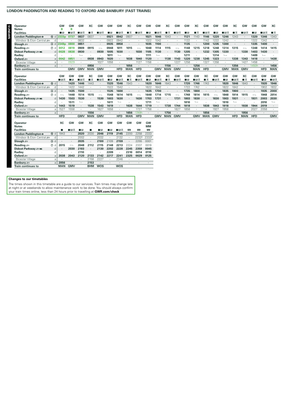## **LONDON PADDINGTON AND READING TO OXFORD AND BANBURY (FAST TRAINS)**

|                                      | GW         | GW                       | <b>GW</b>         |            |                          |           | GW            | XC         | GW                       | GW        |               |            | <b>GW</b>  | GW   |               | GW         |            | GW            | XC            |            |                          | GW            | XC            |
|--------------------------------------|------------|--------------------------|-------------------|------------|--------------------------|-----------|---------------|------------|--------------------------|-----------|---------------|------------|------------|------|---------------|------------|------------|---------------|---------------|------------|--------------------------|---------------|---------------|
| Operator<br><b>Notes</b>             | B          | в                        |                   | xс         | GW                       | GW        |               |            |                          |           | GW            | XC         |            |      | XC            |            | GW         |               |               | GW         | GW                       |               |               |
| <b>Facilities</b>                    | - IR       | ∎⊡ਨ                      | ■■≖               | ∎≖         | ∎в≂                      | l IR      | ∎в≂           | ∎ म        | ∎⊟ਨ                      | - IR      | ∎⊟ਨ           | ∎ ऊ        | ∎в≂        | - IR | ∎≖            | ∎в≂        | - IR       | ∎в≂           | ∎ क्र         | ∎⊟ਨ        | - IR                     | ∎⊟ਨ           | ■品            |
| London Paddington e<br>15 d          | 2333p      | 0737                     | 0837              | 0837       |                          | 0921      | 0942          | 0937       |                          | 1021      | 1046          | 1043       |            | 1121 | 1143          | 1146       | 1220       | 1246          | 1243          |            | 1320                     | 1346          | 1343          |
| Windsor & Eton Central               | d          |                          | 0832              | $\cdot$    |                          | 0922      | 0942          | $\cdot$    |                          | 1022      | 1042          | $\cdot$    |            | 1122 |               | 1142       | 1222       | 1242          |               |            | 1322                     | 1342          | $\cdot$       |
| $\circled{3}$ d<br>Slough s          | 2349p      | 0800                     | 0851              |            | ٠                        | 0935      | 0958          | $\cdot$    |                          | 1035      | 1100          |            |            | 1135 |               | 1200       | 1235       | 1300          |               |            | 1335                     | 1400          |               |
| $\circledcirc$ d<br>Reading $\equiv$ | 0012       | 0819                     | 0909              | 0915       |                          | 0948      | 1011          | 1015       | $\overline{\phantom{0}}$ | 1048      | 1114          | 1115       |            | 1148 | 1215          | 1218       | 1248       | 1314          | 1315          |            | 1348                     | 1414          | 1415          |
| Didcot Parkway and                   | 0028<br>d  | 0838                     | 0930              |            | 0930                     | 1005      | 1030          | $\cdot$    | 1030                     | 1105      | 1130          | $\cdot$    | 1130       | 1205 |               | 1232       | 1305       | 1330          |               | 1330       | 1403                     | 1430          | $\cdot$       |
| Radley                               | d          |                          | $\longrightarrow$ |            |                          | 1011      | $\longmapsto$ |            |                          | 1111      | $\longmapsto$ |            |            | 1211 |               |            | 1314       | $\longmapsto$ |               |            | 1409                     | $\longmapsto$ |               |
| Oxford $\equiv$                      | 0042<br>a  | 0851                     |                   | 0938       | 0943                     | 1020      |               | 1038       | 1040                     | 1120      | $\cdot$       | 1138       | 1143       | 1220 | 1238          | 1245       | 1323       |               | 1338          | 1343       | 1418                     |               | 1438          |
| <b>Bicester Village</b>              | a          | 0929                     |                   |            | 1027                     | 1058      | $\cdot$       | $\cdot$    | 1127                     | 1158      | $\cdot$       | ٠          | 1227       | 1258 | $\cdot$       | 1327       | 1358       | $\cdot$       |               | 1427       | 1458                     |               |               |
| Banbury s                            | a          |                          |                   | 0956       | $\cdot$                  |           |               | 1056       |                          |           |               | 1156       | $\cdot$    |      | 1256          | $\cdot$    |            |               | 1356          | $\cdot$    | 1450h                    |               | 1456          |
| Train continues to                   |            | <b>GMV</b>               | <b>GMV</b>        | <b>MAN</b> | <b>GMV</b>               |           | <b>HFD</b>    | <b>MAN</b> | <b>HFD</b>               |           | <b>GMV</b>    | <b>MAN</b> | <b>GMV</b> |      | <b>MAN</b>    | <b>HFD</b> |            | <b>GMV</b>    | <b>MAN</b>    | <b>GMV</b> |                          | <b>HFD</b>    | <b>MAN</b>    |
|                                      |            |                          |                   |            |                          |           |               |            |                          |           |               |            |            |      |               |            |            |               |               |            |                          |               |               |
| Operator                             | GW         | <b>GW</b>                | GW                | XC         | GW                       | <b>GW</b> | GW            | XC         | GW                       | GW        | GW            | XC         | GW         | GW   | GW            | XC         | GW         | GW            | GW            | XC         | GW                       | GW            | GW            |
| <b>Facilities</b>                    | ∎⊞ऊ        | - IR                     | ∎⊟ਨ               | ∎ ऊ        | ∎в≂                      | l IR      | ∎⊟ਨ           | ∎≂         | ∎⊟ਨ                      | - IR      | ⊞ਸ਼ਨ          | ∎ ऊ        | ∎в≂        | - IR | ∎⊟ਨ           | ■≖         | ∎в≂        | - IR          | ∎в≂           | ∎≖         | ∎⊪ਸ਼ਨ                    | l IR          | ■⊓≂           |
| 15 d<br>London Paddington $\Theta$   |            | 1420                     | 1446              | 1443       |                          | 1520      | 1546          | 1543       |                          | 1620      | 1646          | 1643       |            | 1720 | 1746          | 1743       |            | 1820          | 1846          | 1843       |                          | 1920          | 1946          |
| Windsor & Eton Central               | d          | 1422                     | 1442              |            | ٠                        | 1522      | 1542          | $\cdot$    |                          | 1622      | 1642          |            |            | 1722 | 1742          |            | $\cdot$    | 1822          | 1842          | ٠          |                          | 1902          | 1932          |
| $\circled{3}$ d<br>Slough $\equiv$   |            | 1435                     | 1500              |            | $\cdot$                  | 1535      | 1600          | $\cdot$    |                          | 1635      | 1700          |            |            | 1735 | 1800          |            | $\cdot$    | 1835          | 1900          | $\cdot$    | $\cdot$                  | 1935          | 2000          |
| Reading $\equiv$<br>$(7)$ d          |            | 1448                     | 1514              | 1515       | $\overline{\phantom{0}}$ | 1548      | 1614          | 1615       | $\overline{\phantom{0}}$ | 1648      | 1714          | 1715       |            | 1748 | 1814          | 1815       |            | 1848          | 1914          | 1915       | $\overline{\phantom{0}}$ | 1948          | 2014          |
| Didcot Parkway sow                   | 1430<br>d  | 1503                     | 1530              |            | 1530                     | 1603      | 1630          | $\cdot$    | 1630                     | 1703      | 1731          |            | 1731       | 1803 | 1830          |            | 1830       | 1903          | 1931          | $\bullet$  | 1931                     | 2003          | 2030          |
| Radley                               | d          | 1511                     | $\longmapsto$     |            |                          | 1611      | $\longmapsto$ |            |                          | 1711      | $\longmapsto$ |            |            | 1810 | $\longmapsto$ |            |            | 1910          | $\longmapsto$ |            |                          | 2010          | $\longmapsto$ |
| Oxford $\equiv$                      | 1443<br>a  | 1519                     |                   | 1538       | 1543                     | 1619      |               | 1638       | 1644                     | 1719      | $\cdot$       | 1738       | 1744       | 1818 | $\cdot$       | 1838       | 1843       | 1918          |               | 1938       | 1944                     | 2019          | $\cdot$       |
| <b>Bicester Village</b>              | 1527<br>a  | 1558                     |                   |            | 1627                     | 1658      | $\cdot$       |            | 1727                     | 1758      | $\cdot$       |            | 1827       | 1858 |               |            | 1927       | 1958          |               |            | 2027                     | 2058          | ٠             |
| Banbury s                            | a          | $\cdot$                  |                   | 1556       | $\cdot$                  |           |               | 1656       | 1749h                    | $\sim$    | $\sim$        | 1756       |            | ٠    |               | 1856       | ٠          |               |               | 1956       | $\cdot$                  |               |               |
| Train continues to                   | <b>HFD</b> |                          | <b>GMV</b>        | <b>MAN</b> | <b>GMV</b>               |           | <b>HFD</b>    | <b>MAN</b> | <b>HFD</b>               |           | <b>GMV</b>    | <b>MAN</b> | <b>GMV</b> |      | <b>GMV</b>    | <b>MAN</b> | <b>GMV</b> |               | <b>HFD</b>    | MAN        | <b>HFD</b>               |               | <b>GMV</b>    |
| Operator                             | XC         | GW                       | GW                | XC         | GW                       | GW        | GW            | <b>GW</b>  | GW                       | GW        |               |            |            |      |               |            |            |               |               |            |                          |               |               |
| <b>Notes</b>                         |            |                          |                   |            |                          |           |               |            |                          | <b>MM</b> |               |            |            |      |               |            |            |               |               |            |                          |               |               |
| <b>Facilities</b>                    | п          | ⊞ਸ਼ਨ                     | I R               |            | - IR                     | l R       | ∎⊟ਨ           | 粤          | 粤                        | 母         |               |            |            |      |               |            |            |               |               |            |                          |               |               |
| London Paddington e<br>15 d          | 1943       | $\cdot$                  | 2020              | 2030       | 2046                     | 2119      | 2145          | 2200       | 2258                     | 2333      |               |            |            |      |               |            |            |               |               |            |                          |               |               |
| Windsor & Eton Central               | d          |                          | 2002              |            | 2032                     |           | 2132          | $\cdot$    | 2232f                    | 2332f     |               |            |            |      |               |            |            |               |               |            |                          |               |               |
| $(3)$ d<br>Slough s                  |            |                          | 2035              |            | 2100                     | 2109      | 2159          |            | 2255                     | 0001      |               |            |            |      |               |            |            |               |               |            |                          |               |               |
| $(7)$ d<br>Reading $\equiv$          | 2015       | $\overline{\phantom{0}}$ | 2048              | 2112       | 2115                     | 2148      | 2213          | 2224       | 2337                     | 0019      |               |            |            |      |               |            |            |               |               |            |                          |               |               |
| Didcot Parkway and                   | d          | 2030                     | 2103              |            | 2130                     | 2202      | 2228          | 2245       | 2359                     | 0045      |               |            |            |      |               |            |            |               |               |            |                          |               |               |
| Radley                               | d          |                          | 2110              |            |                          | 2209      |               | 2310       | 0014                     | 0110      |               |            |            |      |               |            |            |               |               |            |                          |               |               |
| Oxford $\equiv$                      | 2038<br>a  | 2043                     | 2120              | 2133       | 2142                     | 2217      | 2241          | 2325       | 0029                     | 0125      |               |            |            |      |               |            |            |               |               |            |                          |               |               |
| <b>Bicester Village</b>              | a          | ٠                        |                   | 2158       | 2227                     |           | 2346          | $\cdot$    |                          |           |               |            |            |      |               |            |            |               |               |            |                          |               |               |
| Banbury s                            | 2056<br>a  |                          |                   | 2153       |                          |           |               |            |                          |           |               |            |            |      |               |            |            |               |               |            |                          |               |               |
| <b>Train continues to</b>            | <b>MAN</b> | <b>GMV</b>               |                   | <b>BHM</b> | <b>WOS</b>               |           | <b>WOS</b>    |            |                          |           |               |            |            |      |               |            |            |               |               |            |                          |               |               |

## **Changes to our timetables**

The times shown in this timetable are a guide to our services. Train times may change late<br>at night or at weekends to allow maintenance work to be done. You should always confirm<br>your train times online, less than 24 hours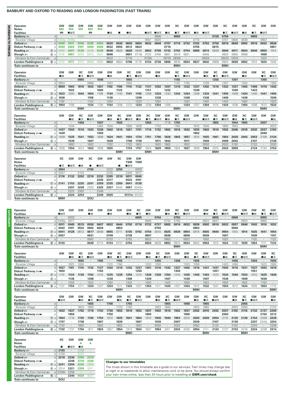## **BANBURY AND OXFORD TO READING AND LONDON PADDINGTON (FAST TRAINS)**

|                  | Operator                                                         | GW               | GW               | GW                   | GW              | GW           | GW              | GW                           | GW                           | GW              | GW                   | GW           | GW                   | XC            | GW              | GW                 | GW                   | GW                   | XC              | GW              | GW                 | XC                 | GW              | GW                   |
|------------------|------------------------------------------------------------------|------------------|------------------|----------------------|-----------------|--------------|-----------------|------------------------------|------------------------------|-----------------|----------------------|--------------|----------------------|---------------|-----------------|--------------------|----------------------|----------------------|-----------------|-----------------|--------------------|--------------------|-----------------|----------------------|
| <b>SAVONOM</b>   | <b>Notes</b><br><b>Facilities</b>                                | <b>MO</b><br>四   | <b>MX</b><br>∎в≂ | <b>MX</b>            | <b>MO</b><br>t  | <b>MX</b>    | - IR            |                              | - IR                         |                 | ∎⊞ऊ                  | ∎⊡ਨ          | - IR                 | ■≖            | ∎⊟ਨ             | ΠR                 | ∎⊟ਨ                  |                      | ∎≖              | ∎⊟ਨ             | ΠR                 | ■≖                 | ∎⊓ਸ਼ਨ           |                      |
|                  | d<br>Banbury som                                                 |                  |                  | 0003                 |                 | ÷            |                 |                              |                              | $\cdot$         |                      | 0606         | $\ddot{\phantom{0}}$ | 0655          |                 |                    |                      | 0728                 | 0756            |                 |                    | 0855               |                 | $\epsilon$           |
|                  | <sub>d</sub><br><b>Bicester Village</b>                          | 323p             | 2345p            | ×                    |                 |              |                 |                              |                              | ٠               | 0551                 | 0625         |                      |               |                 | 0710               |                      |                      | 0747            | 0806            | 0838               |                    | 0902            | $\cdot$              |
| $\ddot{a}$       | Oxford $\equiv$<br>d                                             | 0005             | 0011             | 0045                 | 0335            | 0354         | 0520            | 0540                         | 0600                         | 0604            | 0632                 | 0648         | 0707                 | 0716          | 0732            | 0742               | 0753                 | 0758                 | 0816            | 0849            | 0902               | 0916               | 0932            | 0936                 |
| <b>FRIDAYS</b>   | Didcot Parkway<br>a                                              | 0030             | 0022             | 0101                 | 0400            | 0406         | 0532            | 0555                         | 0612                         | 0623            |                      |              | 0719                 |               |                 | 0755               |                      | 0815                 |                 | ٠               |                    | ×                  |                 | 0951                 |
|                  | Reading <i>s</i> ⊟<br>$\circledcirc$ a                           | 0050             | 0041             | 0128                 | 0438            | 0438         | 0546            | 0625                         | 0628                         | 0648            | 0653                 | 0709         | 0733                 | 0743          | 0754            | 0809               | 0814                 | 0839                 | 0846            | 0911            | 0924               | 0940               | 0955            | 1014                 |
|                  | @a<br>Slough $\equiv$<br>Windsor & Eton Central<br>$\mathsf{a}$  | 0116<br>×        | 0057<br>×        | 0243<br>×            | 0531<br>$\sim$  | 0531<br>×,   | 0606<br>0632    | $\epsilon$<br>$\cdot$        | 0651<br>0716                 | 0718<br>$\cdot$ | 0722<br>0736k        | 0749         | 0801<br>0815k        | 0819<br>0836k | 0831<br>$\cdot$ | $\cdot$<br>$\cdot$ | 0848<br>0902k        | $\cdot$<br>$\cdot$   | 0920<br>0942k   | 0950<br>1002k   | 0959<br>$\cdot$    | $\cdot$<br>$\cdot$ | 1009<br>1022    | $\epsilon$<br>$\sim$ |
|                  | London Paddington $\Theta$<br>⑮ a                                | 0143             | 0117             | 0312                 | 0605            | 0605         | 0622            | 0654                         | 0706                         | 0716            | 0724                 | 0738         | 0806                 | 0816          | 0824            | 0837               | 0842                 | 0908                 | 0924            | 0938            | 0952               | 1014               | 1024            | 1042                 |
|                  | <b>Train continues to</b>                                        |                  |                  |                      |                 |              |                 |                              |                              |                 |                      |              |                      | <b>BMH</b>    |                 |                    |                      |                      | <b>BMH</b>      |                 |                    |                    |                 |                      |
|                  |                                                                  |                  |                  |                      |                 |              |                 |                              |                              |                 |                      |              |                      |               |                 |                    |                      |                      |                 |                 |                    |                    |                 |                      |
|                  | Operator                                                         | GW               | GW               | XC                   | GW              | GW           | GW              | GW                           | XC                           | GW              | GW                   | GW           | GW                   | XC            | GW              | GW                 | GW                   | XC                   | GW              | GW              | GW                 | GW                 | XC              | GW                   |
|                  | <b>Facilities</b><br>$\mathsf{d}$                                | $\blacksquare$ R |                  | ■ऊ                   | ■⊓≂             |              | – R             |                              | ∎ѫ                           | ■੩≂             |                      | - IR         |                      | ∎≂            | ■੩≂             |                    | - IR                 | ∎ क्र                | ∎⊞क्र           |                 | I R                |                    | ■ऊ              | ■⊓⊼                  |
|                  | Banbury son<br>d<br><b>Bicester Village</b>                      | 0934             | $\cdot$          | 0955<br>٠            | 0956            | 1008<br>٠    | $\cdot$<br>1023 | $\epsilon$<br>$\blacksquare$ | 1055<br>1054                 |                 | $\epsilon$           |              | $\cdot$<br>$\cdot$   | 1155<br>1142  | $\cdot$<br>1155 | $\cdot$<br>$\cdot$ | 1239                 | 1255                 | 1257            | 1307            | $\cdot$<br>1334    | $\cdot$            | 1355            | $\epsilon$<br>1355   |
|                  | Oxford $\equiv$<br>d                                             | 0959             | 1003             | 1016                 | 1032            | 1037         | 1102            | 1106                         | 1116                         | 1132            | 1137                 | 1202         | 1207                 | 1216          | 1232            | 1237               | 1302                 | 1316                 | 1332            | 1337            | 1402               | 1406               | 1416            | 1432                 |
|                  | Didcot Parkway = Mi<br>a                                         | $\cdot$          | 1022             | ٠                    |                 | 1049         | $\cdot$         | 1123                         | $\cdot$                      | $\cdot$         | 1151                 | $\cdot$      | 1222                 |               | $\cdot$         | 1249               | $\cdot$              | $\ddot{\phantom{a}}$ | $\cdot$         | 1349            | $\cdot$            | 1423               |                 | $\cdot$              |
|                  | $\circledcirc$ a<br>Reading                                      | 1023             | 1040             | 1044                 | 1054            | 1109         | 1124            | 1140                         | 1141                         | 1155            | 1209                 | 1224         | 1240                 | 1242          | 1254            | 1309               | 1324                 | 1341                 | 1355            | 1409            | 1424               | 1440               | 1441            | 1455                 |
|                  | @a<br>Slough ≞∋                                                  | 1038             | $\cdot$          | $\cdot$              | 1108            | $\cdot$      | 1138            | $\cdot$                      | $\cdot$                      | 1209            | $\cdot$              | 1238         | $\cdot$              |               | 1308            | $\cdot$            | 1338                 | $\ddot{\phantom{a}}$ | 1409            | $\cdot$         | 1438               | $\cdot$            | $\cdot$         | 1509                 |
|                  | Windsor & Eton Central<br>$\rm{a}$<br>⑮ a                        | 1102<br>1054     | $\cdot$<br>1108  | $\cdot$<br>$\cdot$   | 1122<br>1124    | 1136         | 1202<br>1154    | 1208                         | ÷,<br>1212                   | 1222<br>1224    | $\epsilon$<br>1238   | 1302<br>1254 | $\epsilon$<br>1306   | $\epsilon$    | 1322<br>1324    | $\cdot$<br>1337    | 1402<br>1354         | $\cdot$<br>1414      | 1422<br>1424    | $\cdot$<br>1436 | 1502<br>1454       | $\cdot$<br>1508    | $\cdot$<br>1512 | 1522<br>1524         |
|                  | London Paddington $\Theta$<br><b>Train continues to</b>          |                  |                  | <b>BMH</b>           |                 |              |                 |                              |                              |                 |                      |              |                      | <b>BMH</b>    |                 |                    |                      |                      |                 |                 |                    |                    | <b>BMH</b>      |                      |
|                  |                                                                  |                  |                  |                      |                 |              |                 |                              |                              |                 |                      |              |                      |               |                 |                    |                      |                      |                 |                 |                    |                    |                 |                      |
|                  | Operator                                                         | GW               | GW               | XC                   | GW              | GW           | GW              | ХC                           | GW                           | GW              | XC                   | GW           | GW                   | XC            | GW              | <b>GW</b>          | GW                   | XC                   | GW              | GW              | XC                 | GW                 | GW              | GW                   |
|                  | <b>Facilities</b>                                                |                  | - IR             | ■ ऊ                  | ∎⊞ऊ             |              | – R             | ∎ ऊ                          | ■⊞क्र                        | - IR            | ∎∓                   | ∎⊡⊼          | I R                  | ∎∓            | ∎⊓ਡ             |                    | ∎в≂                  | ∎ ऊ                  | ∎в≂             | - IR            | ∎ क्र              | ■੩ਨ                |                 | $\blacksquare$ R     |
|                  | d<br><b>Banbury</b> <i>s</i><br>d<br><b>Bicester Village</b>     | $\cdot$<br>٠     | 1434             | 1456<br>٠            |                 | 1507<br>1454 | 1540            | 1555<br>$\cdot$              | $\cdot$<br>1555              | $\cdot$<br>1639 | 1655                 | 1703         | 1718<br>$\cdot$      | 1755<br>1740  | $\cdot$         | $\cdot$<br>1810    | 1840                 | 1855<br>$\cdot$      | 1905            | 1944<br>1943    | 1955<br>$\cdot$    | ٠<br>×,            | 2007<br>$\cdot$ | $\cdot$<br>2023      |
|                  | d<br>Oxford $\equiv$                                             | 1437             | 1503             | 1516                 | 1532            | 1536         | 1602            | 1616                         | 1631                         | 1701            | 1716                 | 1732         | 1802                 | 1816          | 1832            | 1835               | 1902                 | 1916                 | 1932            | 2006            | 2018               | 2032               | 2037            | 2102                 |
|                  | Didcot Parkway = Wi<br>a                                         | 1449             | $\cdot$          | ٠                    |                 | 1550         | $\cdot$         |                              | ٠                            | $\cdot$         |                      | $\cdot$      | $\cdot$              |               | ٠               | 1852               | ٠                    | $\cdot$              | ٠               | $\cdot$         | $\cdot$            |                    | 2049            | $\sim$               |
|                  | Reading<br>$\circledcirc$ a                                      | 1509             | 1525             | 1541                 | 1553            | 1609         | 1624            | 1641                         | 1654                         | 1724            | 1741                 | 1756         | 1826                 | 1843          | 1857            | 1910               | 1925                 | 1941                 | 1954            | 2028            | 2043               | 2053               | 2109            | 2124                 |
|                  | Slough $\equiv$<br>@a                                            |                  | 1539             | ٠                    | 1607            |              | 1638            | $\blacksquare$               | 1708                         | 1738            |                      | 1811         | 1842                 |               | 1911            | $\cdot$            | 1939                 | ٠                    | 2009            | 2042            |                    | 2107               |                 | 2138                 |
|                  | Windsor & Eton Central<br>$\rm{a}$<br>London Paddington e<br>⑮ a | $\cdot$<br>1536  | 1602<br>1554     | $\cdot$<br>1614      | 1622<br>1622    | ÷,<br>1639   | 1702<br>1655    | $\cdot$<br>$\blacksquare$    | 1722<br>1724                 | 1802<br>1757    | $\cdot$<br>1824      | 1822<br>1829 | 1902<br>1859         | 1924          | 1922<br>1927    | $\cdot$<br>1939    | 2002<br>1954         | $\cdot$<br>2015      | 2022<br>2024    | 2102<br>2059    | $\cdot$<br>$\cdot$ | 2122<br>2124       | 2134            | 2202<br>2154         |
|                  | <b>Train continues to</b>                                        |                  |                  |                      |                 |              |                 | <b>BMH</b>                   |                              |                 | <b>BMH</b>           |              |                      |               |                 |                    |                      | BMH                  |                 |                 |                    |                    |                 |                      |
|                  |                                                                  |                  |                  |                      |                 |              |                 |                              |                              |                 |                      |              |                      |               |                 |                    |                      |                      |                 |                 |                    |                    |                 |                      |
|                  | Operator                                                         | XC               | GW               | GW                   | ХC              | GW           | GW              | XC                           | GW                           | GW              |                      |              |                      |               |                 |                    |                      |                      |                 |                 |                    |                    |                 |                      |
|                  | <b>Notes</b>                                                     |                  |                  |                      |                 |              |                 |                              | <b>TSM</b>                   | <b>TSM</b>      |                      |              |                      |               |                 |                    |                      |                      |                 |                 |                    |                    |                 |                      |
|                  | <b>Facilities</b><br><b>Banbury</b><br>d                         | ∎ѫ<br>2054       | ■⊞ᠼ              | - IR<br>$\cdot$      | П<br>2155       | ■日美<br>٠     | 2232            | п<br>2255                    | ■⊓≂<br>$\ddot{\phantom{a}}$  | 0003            |                      |              |                      |               |                 |                    |                      |                      |                 |                 |                    |                    |                 |                      |
|                  | <b>Bicester Village</b><br>d                                     | 2047             |                  | 2133                 |                 |              | 2235            |                              | 2345                         | 0017            |                      |              |                      |               |                 |                    |                      |                      |                 |                 |                    |                    |                 |                      |
|                  | Oxford $\equiv$<br>d                                             | 2116             | 2132             | 2202                 | 2216            | 2232         | 2305            | 2316                         | 0011                         | 0045            |                      |              |                      |               |                 |                    |                      |                      |                 |                 |                    |                    |                 |                      |
|                  | Didcot Parkway = Mi<br>a                                         |                  |                  |                      |                 | 2245         | 2317            |                              | 0022                         | 0101            |                      |              |                      |               |                 |                    |                      |                      |                 |                 |                    |                    |                 |                      |
|                  |                                                                  |                  |                  |                      |                 |              |                 |                              |                              |                 |                      |              |                      |               |                 |                    |                      |                      |                 |                 |                    |                    |                 |                      |
|                  | Reading<br>$\circledcirc$ a                                      | 2141             | 2153             | 2225                 | 2241            | 2259         | 2335            | 2350                         | 0041                         | 0128            |                      |              |                      |               |                 |                    |                      |                      |                 |                 |                    |                    |                 |                      |
|                  | $\circled{3}$<br>Slough $\equiv$<br>a<br>$\overline{a}$          | $\cdot$          | 2207             | 2238                 | 2320<br>$\sim$  | 2325         | 2357<br>$\cdot$ | 0042<br>$\cdot$              | 0057                         | 0243n           |                      |              |                      |               |                 |                    |                      |                      |                 |                 |                    |                    |                 |                      |
|                  | Windsor & Eton Central<br>London Paddington $\Theta$<br>⑮ a      | $\cdot$          | 2222<br>2224     | 2302<br>2254         | $\cdot$         | 2346<br>2349 | 0020            | $\sim$                       |                              | 0117m 0312n     |                      |              |                      |               |                 |                    |                      |                      |                 |                 |                    |                    |                 |                      |
|                  | <b>Train continues to</b>                                        | <b>BMH</b>       |                  |                      | SOU             |              |                 |                              |                              |                 |                      |              |                      |               |                 |                    |                      |                      |                 |                 |                    |                    |                 |                      |
|                  |                                                                  |                  |                  |                      |                 |              |                 |                              |                              |                 |                      |              |                      |               |                 |                    |                      |                      |                 |                 |                    |                    |                 |                      |
|                  |                                                                  |                  |                  |                      |                 |              |                 |                              |                              |                 |                      |              |                      |               |                 |                    |                      |                      |                 |                 |                    |                    |                 |                      |
|                  | Operator                                                         | GW               | GW               | GW                   | GW              | GW           | GW              | GW                           | GW                           | XC              | GW                   | GW           | GW                   | XC            | GW              | <b>GW</b>          | GW                   | XC                   | GW              | GW              | GW                 | GW                 | XC              | GW                   |
|                  | <b>Facilities</b><br>d<br>Banbury son                            | ■⊡⊼              | 0003             | $\cdot$              | – R             | ٠            | – R             | $\epsilon$                   | - IR                         | ■≖<br>0655      | - IR                 | 0704         | - IR                 | ∎ क्र<br>0755 | ■⊪≂<br>$\cdot$  | $\cdot$            | - IR                 | ■ऊ<br>0855           | ∎в≂<br>$\cdot$  | 0909            | ∎в≂                | $\blacksquare$ R   | ■≖<br>0955      | ■⊓⊼<br>$\sim$        |
|                  | d<br><b>Bicester Village</b>                                     | 2345p            | 0017             | $\cdot$              | $\cdot$         | $\cdot$      | $\cdot$         | $\cdot$                      | $\cdot$                      | $\cdot$         | 0655                 | $\cdot$      | 0734                 | 0750          |                 | $\cdot$            | 0823                 | 0847                 | $\cdot$         | $\cdot$         | 0923               | ٠                  | 0950            | $\sim$               |
| <b>SYADRDAYS</b> | d<br>Oxford $\equiv$                                             | 0011             | 0045             | 0515                 | 0550            | 0607         | 0632            | 0640                         | 0702                         | 0716            | 0732                 | 0737         | 0802                 | 0816          | 0832            | 0839               | 0902                 | 0916                 | 0932            | 0937            | 0948               | 1002               | 1016            | 1032                 |
|                  | Didcot Parkway <i>s</i><br>a                                     | 0022             | 0101             | 0533                 | 0602            | 0626         |                 | 0653                         |                              |                 |                      | 0750         | $\cdot$              |               |                 | 0853               |                      | $\cdot$              |                 | 0949            | $\cdot$            |                    |                 | $\cdot$              |
|                  | $\circledcirc$ a<br>Reading                                      | 0041             | 0128             | 0612                 | 0617            | 0648         | 0655            | 0711                         | 0725                         | 0742            | 0754                 | 0810         | 0825                 | 0839          | 0854            | 0916               | 0925                 | 0940                 | 0954            | 1010            | 1014               | 1025               | 1041            | 1054                 |
|                  | Slough $\equiv$<br>③ a<br>Windsor & Eton Central<br>$\mathsf a$  | 0057<br>$\cdot$  | $\cdot$          |                      | 0631<br>0652    | $\cdot$      | 0709<br>0722    | $\epsilon$                   | 0738<br>0752                 | $\cdot$         | 0807<br>0822         |              | 0838<br>0902         | $\cdot$       | 0908<br>0922    | $\cdot$            | 0939<br>1002         | $\cdot$              | 1007<br>1022    | $\cdot$         | $\cdot$            | 1038<br>1102       | $\cdot$         | 1107<br>1122         |
|                  | London Paddington $\Theta$<br>⑮ a                                | 0120             | $\cdot$          | $\ddot{\phantom{a}}$ | 0649            | 0714         | 0724            | 0737                         | 0754                         | $\cdot$         | 0824                 | 0839         | 0853                 | 0912          | 0924            | 0942               | 0954                 | 1012                 | 1024            | 1036            | 1039               | 1054               | 1111            | 1124                 |
|                  | Train continues to                                               |                  |                  |                      |                 |              |                 |                              |                              |                 |                      |              |                      | <b>BMH</b>    |                 |                    |                      |                      |                 |                 |                    |                    | <b>BMH</b>      |                      |
|                  |                                                                  |                  |                  |                      |                 |              |                 |                              |                              |                 |                      |              |                      |               |                 |                    |                      |                      |                 |                 |                    |                    |                 |                      |
|                  | Operator                                                         | GW               | GW<br>- IR       | XC                   | GW              | GW           | GW              | ХC                           | GW                           | GW              | GW<br>l IR           | XC           | GW                   | GW            | GW<br>- IR      | XC                 | GW                   | GW                   | GW              | ХC              | GW                 | GW                 | GW              | XC                   |
|                  | <b>Facilities</b><br>$\mathsf{d}$<br>Banbury s                   | $\cdot$          | $\cdot$          | ■ऊ<br>1055           | ■日素<br>$\cdot$  | 1108         | - IR<br>$\cdot$ | ∎ क्र<br>1155                | ■⊓≂<br>$\cdot$               | $\cdot$         |                      | ■≖<br>1255   | ∎в≂<br>$\epsilon$    | 1308          | $\cdot$         | ∎ѫ<br>1355         | ∎⊞ऊ<br>$\cdot$       | $\cdot$              | ΠR              | ■≖<br>1456      | ∎⊪क<br>$\cdot$     | 1503               | - R<br>$\cdot$  | ∎ѫ<br>1555           |
|                  | <b>Bicester Village</b><br>d                                     | $\cdot$          | 1023             | 1050                 | $\cdot$         | ٠            | 1123            | 1150                         | $\cdot$                      | ٠               | 1223                 | 1250         | $\cdot$              |               | 1323            | 1350               | ٠                    | $\cdot$              | 1423            | 1450            | $\cdot$            | ٠                  | 1523            | 1550                 |
|                  | Oxford $\equiv$<br>d                                             | 1037             | 1101             | 1116                 | 1132            | 1137         | 1202            | 1216                         | 1232                         | 1237            | 1301                 | 1316         | 1332                 | 1337          | 1402            | 1416               | 1431                 | 1437                 | 1502            | 1516            | 1531               | 1537               | 1602            | 1616                 |
|                  | Didcot Parkway = Mi<br>a                                         | 1050             | $\cdot$          | ٠                    |                 | 1150         | $\cdot$         | $\cdot$                      | $\cdot$                      | 1250            | $\cdot$              | $\cdot$      | $\blacksquare$       | 1350          | $\cdot$         | $\cdot$            | $\cdot$              | 1451                 | $\cdot$         | $\cdot$         | $\cdot$            | 1551               | $\cdot$         | $\sim$               |
|                  | $^\circledR$<br>Reading<br>a                                     | 1110<br>$\cdot$  | 1124             | 1139<br>$\cdot$      | 1154<br>1208    | 1210         | 1225            | 1239<br>$\cdot$              | 1254<br>1308                 | 1310<br>$\cdot$ | 1326                 | 1339<br>٠    | 1354                 | 1410          | 1425            | 1440<br>$\cdot$    | 1453<br>1507         | 1510<br>$\cdot$      | 1525            | 1540<br>$\cdot$ | 1553               | 1610<br>$\cdot$    | 1625            | 1639<br>$\epsilon$   |
|                  | Slough $\equiv$<br>@a<br>Windsor & Eton Central<br>$\rm{a}$      | $\cdot$          | 1138<br>1202     | $\cdot$              | 1222            | $\cdot$      | 1238<br>1302    | $\cdot$                      | 1322                         | $\cdot$         | 1339<br>1402         | $\cdot$      | 1407<br>1422         | $\cdot$       | 1438<br>1502    | $\cdot$            | 1522                 | $\cdot$              | 1538<br>1602    | $\cdot$         | 1609<br>1622       | ä,                 | 1638<br>1702    | $\sim$               |
|                  | London Paddington e<br>⑮ a                                       | 1137             | 1154             | 1211                 | 1224            | 1237         | 1254            | 1311                         | 1324                         | 1337            | 1354                 | 1411         | 1424                 | 1437          | 1454            | 1512               | 1522                 | 1537                 | 1554            | 1613            | 1624               | 1635               | 1654            | 1712                 |
|                  | Train continues to                                               |                  |                  |                      |                 |              |                 | <b>BMH</b>                   |                              |                 |                      |              |                      |               |                 | <b>BMH</b>         |                      |                      |                 |                 |                    |                    |                 | <b>BMH</b>           |
|                  |                                                                  |                  |                  |                      |                 |              |                 |                              |                              |                 |                      |              |                      |               |                 |                    |                      |                      |                 |                 |                    |                    |                 |                      |
|                  | Operator<br><b>Facilities</b>                                    | GW<br>∎⊞क्र      | GW               | GW<br>- IR           | XC<br>∎≖        | GW<br>∎⊞ऊ    | GW              | GW<br>- IR                   | ХC<br>■≖                     | GW<br>■⊟ਨ       | <b>GW</b>            | GW<br>- IR   | ХC<br>∎ म            | GW<br>■⊓≂     | GW              | GW<br>ΠR           | ХC<br>■≖             | GW<br>■⊓∓            | GW              | GW<br>– R       | XC<br>∎ѫ           | GW<br>∎в≂          | GW              | <b>GW</b><br>- IR    |
|                  | <b>Banbury</b><br>d                                              | $\cdot$          | $\cdot$          | ÷,                   | 1655            | $\epsilon$   | 1708            |                              | 1755                         | $\cdot$         | $\cdot$              |              | 1855                 | $\cdot$       | 1908            | $\cdot$            | 1955                 | $\cdot$              | $\cdot$         |                 | 2055               | $\epsilon$         | $\cdot$         | $\sim$               |
|                  | <b>Bicester Village</b><br>d                                     | $\cdot$          | $\cdot$          | 1623                 | 1650            | $\cdot$      | $\cdot$         | 1723                         | 1750                         | $\cdot$         | $\cdot$              | 1823         | 1850                 | $\cdot$       | $\cdot$         | 1923               | 1950                 | $\cdot$              | $\cdot$         | 2022            | 2050               | $\cdot$            | $\cdot$         | 2123                 |
|                  | Oxford $\equiv$<br>d                                             | 1632             | 1637             | 1702                 | 1716            | 1732         | 1736            | 1802                         | 1816                         | 1832            | 1837                 | 1902         | 1916                 | 1932          | 1937            | 2002               | 2016<br>$\cdot$      | 2032                 | 2037            | 2102            | 2116               | 2132               | 2137            | 2200                 |
|                  | Didcot Parkway = Mi<br>a                                         | $\cdot$          | 1650             | ٠                    |                 |              | 1750            | $\epsilon$                   | ٠                            | $\cdot$         | 1850                 | $\cdot$      | $\sim$               |               | 1950            | $\cdot$            |                      |                      | 2050            | ٠               |                    |                    | 2150            | 2212                 |
|                  | Reading<br>$\circledcirc$ a<br>Slough $\equiv$<br>@a             | 1654<br>1707     | 1710<br>$\cdot$  | 1725<br>1738         | 1740<br>$\cdot$ | 1754<br>1807 | 1810<br>$\cdot$ | 1825<br>1839                 | 1841<br>$\ddot{\phantom{a}}$ | 1854<br>1907    | 1910<br>$\mathbf{r}$ | 1926<br>1939 | 1940<br>$\cdot$      | 1954<br>2007  | 2010<br>$\cdot$ | 2025<br>2039       | 2039<br>$\mathbf{r}$ | 2054<br>2107         | 2110<br>$\cdot$ | 2125<br>2138    | 2139<br>$\cdot$    | 2154<br>2207       | 2209<br>2244i   | 2229<br>2254         |
|                  | Windsor & Eton Central<br>$\rm{a}$                               | 1722             |                  | 1802                 | $\cdot$         | 1822         | $\cdot$         | 1902                         | $\cdot$                      | 1922            | $\epsilon$           | 2002         | $\epsilon$           | 2022          | $\cdot$         | 2052               | $\cdot$              | 2122                 |                 | 2152            | $\cdot$            | 2220               |                 | 2328                 |
|                  | London Paddington e<br>⑮ a                                       | 1722             | 1737             | 1754                 | 1811            | 1824         | 1837            | 1854                         | 1913                         | 1924            | 1937                 | 1954         | 2011                 | 2024          | 2035            | 2054               | 2111                 | 2124                 | 2137            | 2153            | 2216               | 2224               | 2239            | 2314                 |
|                  | Train continues to                                               |                  |                  |                      |                 |              |                 |                              | <b>BMH</b>                   |                 |                      |              |                      |               |                 |                    | <b>BMH</b>           |                      |                 |                 | <b>BMH</b>         |                    |                 |                      |

| <b>Operator</b><br><b>Notes</b> |             |   | XC    | GW       | GW<br>А | GW<br>А |
|---------------------------------|-------------|---|-------|----------|---------|---------|
| <b>Facilities</b>               |             |   |       | ∎⊓त्रक्र | - IRI   |         |
| Banbury s                       |             | d | 2155  | ٠        | 2208    | ٠       |
| <b>Bicester Village</b>         |             | d | 2150  | ٠        | 2223    | ٠       |
| Oxford $\equiv$                 |             | d | 2216  | 2236     | 2305    | 2310    |
| Didcot Parkway som              |             | a | ٠     | 2248     | 2318    | 2330    |
| Reading                         | $\circled7$ | a | 2241  | 2304     | 2335    | 2352    |
| Slough $\equiv$                 | 3           | a | 2314  | 2321     | 2359    | 0011    |
| Windsor & Eton Central          |             | a | 2328k | 2358     | ٠       | ٠       |
| London Paddington $\Theta$      | ௫           | a | ٠     | 2340     | 0020    | 0037    |
| <b>Train continues to</b>       |             |   | sou   |          |         |         |

# **Changes to our timetables**

The times shown in this timetable are a guide to our services. Train times may change late<br>at night or at weekends to allow maintenance work to be done. You should always confirm<br>your train times online, less than 24 hours